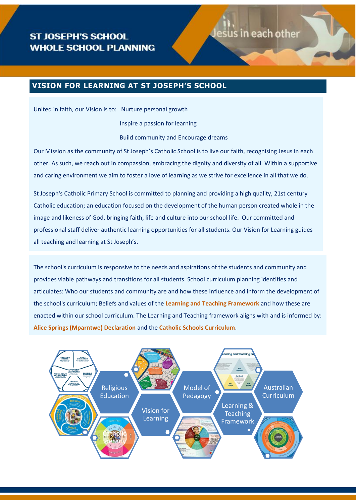# Jesus in each other

# **VISION FOR LEARNING AT ST JOSEPH'S SCHOOL**

United in faith, our Vision is to: Nurture personal growth

Inspire a passion for learning

Build community and Encourage dreams

Our Mission as the community of St Joseph's Catholic School is to live our faith, recognising Jesus in each other. As such, we reach out in compassion, embracing the dignity and diversity of all. Within a supportive and caring environment we aim to foster a love of learning as we strive for excellence in all that we do.

St Joseph's Catholic Primary School is committed to planning and providing a high quality, 21st century Catholic education; an education focused on the development of the human person created whole in the image and likeness of God, bringing faith, life and culture into our school life. Our committed and professional staff deliver authentic learning opportunities for all students. Our Vision for Learning guides all teaching and learning at St Joseph's.

The school's curriculum is responsive to the needs and aspirations of the students and community and provides viable pathways and transitions for all students. School curriculum planning identifies and articulates: Who our students and community are and how these influence and inform the development of the school's curriculum; Beliefs and values of the **[Learning and Teaching Framework](https://mybcecatholicedu.sharepoint.com/learning-and-teaching/Shared%20Documents/Learning_&_Teaching_Framework_2019.pdf?csf=1&e=zRp7oJ&cid=1436e019-4fa7-4644-aca5-dc9853c5b540)** and how these are enacted within our school curriculum. The Learning and Teaching framework aligns with and is informed by: **[Alice Springs \(Mparntwe\) Declaration](https://www.dese.gov.au/alice-springs-mparntwe-education-declaration)** and the **[Catholic Schools Curriculum](https://curriculum.bne.catholic.edu.au/)**.

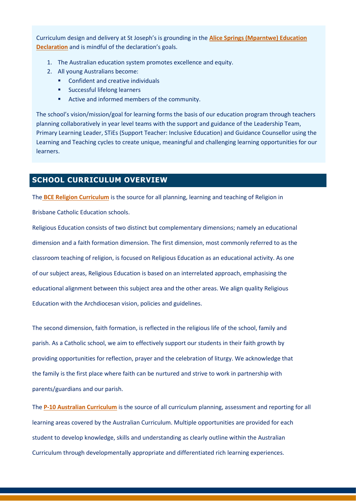Curriculum design and delivery at St Joseph's is grounding in the **[Alice Springs \(Mparntwe\) Education](https://www.dese.gov.au/alice-springs-mparntwe-education-declaration)  [Declaration](https://www.dese.gov.au/alice-springs-mparntwe-education-declaration)** and is mindful of the declaration's goals.

- 1. The Australian education system promotes excellence and equity.
- 2. All young Australians become:
	- Confident and creative individuals
	- Successful lifelong learners
	- Active and informed members of the community.

The school's vision/mission/goal for learning forms the basis of our education program through teachers planning collaboratively in year level teams with the support and guidance of the Leadership Team, Primary Learning Leader, STiEs (Support Teacher: Inclusive Education) and Guidance Counsellor using the Learning and Teaching cycles to create unique, meaningful and challenging learning opportunities for our learners.

# **SCHOOL CURRICULUM OVERVIEW**

The **[BCE Religion Curriculum](https://curriculum.bne.catholic.edu.au/Curriculum/LearningArea?learningAreaName=Religious%20Education)** is the source for all planning, learning and teaching of Religion in

Brisbane Catholic Education schools.

Religious Education consists of two distinct but complementary dimensions; namely an educational dimension and a faith formation dimension. The first dimension, most commonly referred to as the classroom teaching of religion, is focused on Religious Education as an educational activity. As one of our subject areas, Religious Education is based on an interrelated approach, emphasising the educational alignment between this subject area and the other areas. We align quality Religious Education with the Archdiocesan vision, policies and guidelines.

The second dimension, faith formation, is reflected in the religious life of the school, family and parish. As a Catholic school, we aim to effectively support our students in their faith growth by providing opportunities for reflection, prayer and the celebration of liturgy. We acknowledge that the family is the first place where faith can be nurtured and strive to work in partnership with parents/guardians and our parish.

The **[P-10 Australian Curriculum](https://www.acara.edu.au/curriculum)** is the source of all curriculum planning, assessment and reporting for all learning areas covered by the Australian Curriculum. Multiple opportunities are provided for each student to develop knowledge, skills and understanding as clearly outline within the Australian Curriculum through developmentally appropriate and differentiated rich learning experiences.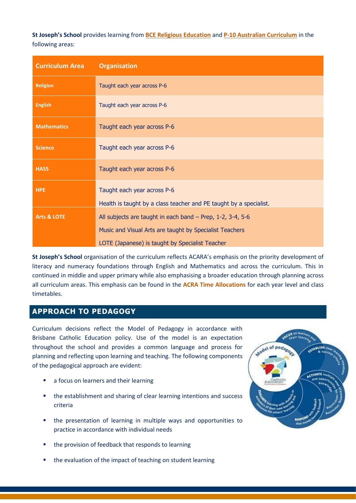**St Joseph's School** provides learning from **[BCE Religious Education](https://curriculum.bne.catholic.edu.au/Curriculum/LearningArea?learningAreaName=Religious%20Education)** and **[P-10 Australian Curriculum](https://www.acara.edu.au/curriculum)** in the following areas:

| <b>Curriculum Area</b> | <b>Organisation</b>                                                                               |  |  |
|------------------------|---------------------------------------------------------------------------------------------------|--|--|
| <b>Religion</b>        | Taught each year across P-6                                                                       |  |  |
| <b>English</b>         | Taught each year across P-6                                                                       |  |  |
| <b>Mathematics</b>     | Taught each year across P-6                                                                       |  |  |
| <b>Science</b>         | Taught each year across P-6                                                                       |  |  |
| <b>HASS</b>            | Taught each year across P-6                                                                       |  |  |
| <b>HPE</b>             | Taught each year across P-6<br>Health is taught by a class teacher and PE taught by a specialist. |  |  |
| <b>Arts &amp; LOTE</b> | All subjects are taught in each band $-$ Prep, 1-2, 3-4, 5-6                                      |  |  |
|                        | Music and Visual Arts are taught by Specialist Teachers                                           |  |  |
|                        | LOTE (Japanese) is taught by Specialist Teacher                                                   |  |  |

**St Joseph's School** organisation of the curriculum reflects ACARA's emphasis on the priority development of literacy and numeracy foundations through English and Mathematics and across the curriculum. This in continued in middle and upper primary while also emphasising a broader education through planning across all curriculum areas. This emphasis can be found in the **[ACRA Time Allocations](https://mybcecatholicedu.sharepoint.com/learning-and-teaching/Shared%20Documents/Forms/AllItems.aspx?id=%2Flearning%2Dand%2Dteaching%2FShared%20Documents%2FTime%20Allocations%20%2D%20Appendix%201%2Epdf&parent=%2Flearning%2Dand%2Dteaching%2FShared%20Documents)** for each year level and class timetables.

# **APPROACH TO PEDAGOGY**

Curriculum decisions reflect the Model of Pedagogy in accordance with Brisbane Catholic Education policy. Use of the model is an expectation throughout the school and provides a common language and process for planning and reflecting upon learning and teaching. The following components of the pedagogical approach are evident:

- a focus on learners and their learning
- the establishment and sharing of clear learning intentions and success criteria
- the presentation of learning in multiple ways and opportunities to practice in accordance with individual needs
- the provision of feedback that responds to learning
- the evaluation of the impact of teaching on student learning

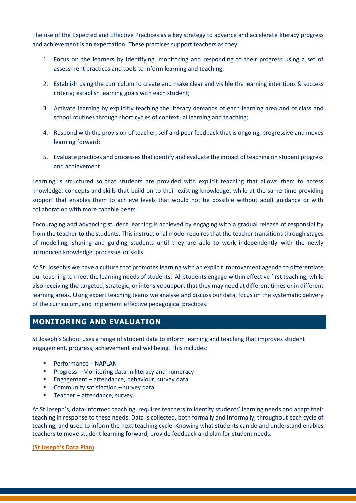The use of the Expected and Effective Practices as a key strategy to advance and accelerate literacy progress and achievement is an expectation. These practices support teachers as they:

- 1. Focus on the learners by identifying, monitoring and responding to their progress using a set of assessment practices and tools to inform learning and teaching;
- 2. Establish using the curriculum to create and make clear and visible the learning intentions & success criteria; establish learning goals with each student;
- 3. Activate learning by explicitly teaching the literacy demands of each learning area and of class and school routines through short cycles of contextual learning and teaching;
- 4. Respond with the provision of teacher, self and peer feedback that is ongoing, progressive and moves learning forward;
- 5. Evaluate practices and processes that identify and evaluate the impact of teaching on student progress and achievement.

Learning is structured so that students are provided with explicit teaching that allows them to access knowledge, concepts and skills that build on to their existing knowledge, while at the same time providing support that enables them to achieve levels that would not be possible without adult guidance or with collaboration with more capable peers.

Encouraging and advancing student learning is achieved by engaging with a gradual release of responsibility from the teacher to the students. This instructional model requires that the teacher transitions through stages of modelling, sharing and guiding students until they are able to work independently with the newly introduced knowledge, processes or skills.

At St. Joseph's we have a culture that promotes learning with an explicit improvement agenda to differentiate our teaching to meet the learning needs of students. All students engage within effective first teaching, while also receiving the targeted, strategic, or intensive support that they may need at different times or in different learning areas. Using expert teaching teams we analyse and discuss our data, focus on the systematic delivery of the curriculum, and implement effective pedagogical practices.

### **MONITORING AND EVALUATION**

St Joseph's School uses a range of student data to inform learning and teaching that improves student engagement, progress, achievement and wellbeing. This includes:

- Performance NAPLAN
- Progress Monitoring data in literacy and numeracy
- Engagement attendance, behaviour, survey data
- Community satisfaction survey data
- Teacher attendance, survey.

At St Joseph's, data-informed teaching, requires teachers to identify students' learning needs and adapt their teaching in response to these needs. Data is collected, both formally and informally, throughout each cycle of teaching, and used to inform the next teaching cycle. Knowing what students can do and understand enables teachers to move student learning forward, provide feedback and plan for student needs.

#### **[\(St Joseph's Data Plan\)](https://mybcecatholicedu.sharepoint.com/:b:/s/sp-stjosephsbrackenridge/staff/EelwRj2ruEZLq0WneeSdtJkBi-kibW6A5OxUbzOmyMavwg?e=E9BAEk)**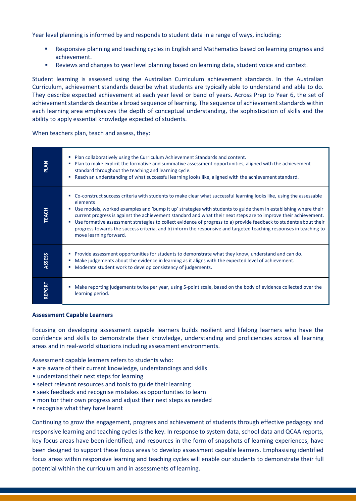Year level planning is informed by and responds to student data in a range of ways, including:

- Responsive planning and teaching cycles in English and Mathematics based on learning progress and achievement.
- Reviews and changes to year level planning based on learning data, student voice and context.

Student learning is assessed using the Australian Curriculum achievement standards. In the Australian Curriculum, achievement standards describe what students are typically able to understand and able to do. They describe expected achievement at each year level or band of years. Across Prep to Year 6, the set of achievement standards describe a broad sequence of learning. The sequence of achievement standards within each learning area emphasizes the depth of conceptual understanding, the sophistication of skills and the ability to apply essential knowledge expected of students.

When teachers plan, teach and assess, they:

| <b>PLAN</b>   | Plan collaboratively using the Curriculum Achievement Standards and content.<br>٠<br>Plan to make explicit the formative and summative assessment opportunities, aligned with the achievement<br>standard throughout the teaching and learning cycle.<br>Reach an understanding of what successful learning looks like, aligned with the achievement standard.                                                                                                                                                                                                                                                                                    |
|---------------|---------------------------------------------------------------------------------------------------------------------------------------------------------------------------------------------------------------------------------------------------------------------------------------------------------------------------------------------------------------------------------------------------------------------------------------------------------------------------------------------------------------------------------------------------------------------------------------------------------------------------------------------------|
| <b>TEACH</b>  | Co-construct success criteria with students to make clear what successful learning looks like, using the assessable<br>elements<br>Use models, worked examples and 'bump it up' strategies with students to guide them in establishing where their<br>current progress is against the achievement standard and what their next steps are to improve their achievement.<br>Use formative assessment strategies to collect evidence of progress to a) provide feedback to students about their<br>٠<br>progress towards the success criteria, and b) inform the responsive and targeted teaching responses in teaching to<br>move learning forward. |
| <b>ASSESS</b> | Provide assessment opportunities for students to demonstrate what they know, understand and can do.<br><b>COL</b><br>Make judgements about the evidence in learning as it aligns with the expected level of achievement.<br>Moderate student work to develop consistency of judgements.<br>п                                                                                                                                                                                                                                                                                                                                                      |
| <b>REPORT</b> | Make reporting judgements twice per year, using 5-point scale, based on the body of evidence collected over the<br>learning period.                                                                                                                                                                                                                                                                                                                                                                                                                                                                                                               |

#### **Assessment Capable Learners**

Focusing on developing assessment capable learners builds resilient and lifelong learners who have the confidence and skills to demonstrate their knowledge, understanding and proficiencies across all learning areas and in real-world situations including assessment environments.

Assessment capable learners refers to students who:

- are aware of their current knowledge, understandings and skills
- understand their next steps for learning
- select relevant resources and tools to guide their learning
- seek feedback and recognise mistakes as opportunities to learn
- monitor their own progress and adjust their next steps as needed
- recognise what they have learnt

Continuing to grow the engagement, progress and achievement of students through effective pedagogy and responsive learning and teaching cycles is the key. In response to system data, school data and QCAA reports, key focus areas have been identified, and resources in the form of snapshots of learning experiences, have been designed to support these focus areas to develop assessment capable learners. Emphasising identified focus areas within responsive learning and teaching cycles will enable our students to demonstrate their full potential within the curriculum and in assessments of learning.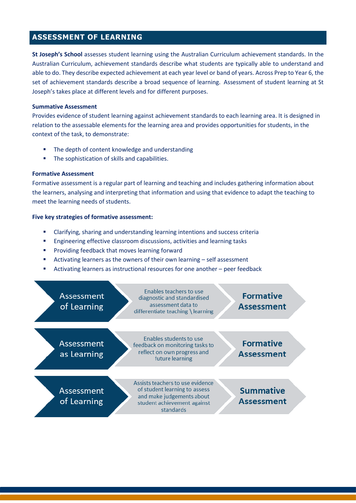### **ASSESSMENT OF LEARNING**

**St Joseph's School** assesses student learning using the Australian Curriculum achievement standards. In the Australian Curriculum, achievement standards describe what students are typically able to understand and able to do. They describe expected achievement at each year level or band of years. Across Prep to Year 6, the set of achievement standards describe a broad sequence of learning. Assessment of student learning at St Joseph's takes place at different levels and for different purposes.

#### **Summative Assessment**

Provides evidence of student learning against achievement standards to each learning area. It is designed in relation to the assessable elements for the learning area and provides opportunities for students, in the context of the task, to demonstrate:

- The depth of content knowledge and understanding
- **■** The sophistication of skills and capabilities.

#### **Formative Assessment**

Formative assessment is a regular part of learning and teaching and includes gathering information about the learners, analysing and interpreting that information and using that evidence to adapt the teaching to meet the learning needs of students.

#### **Five key strategies of formative assessment:**

- Clarifying, sharing and understanding learning intentions and success criteria
- Engineering effective classroom discussions, activities and learning tasks
- Providing feedback that moves learning forward
- Activating learners as the owners of their own learning self assessment
- Activating learners as instructional resources for one another peer feedback

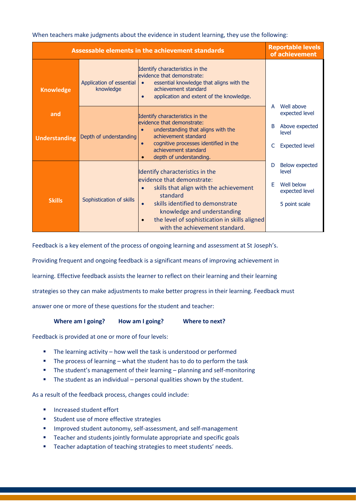When teachers make judgments about the evidence in student learning, they use the following:

| <b>Assessable elements in the achievement standards</b> | <b>Reportable levels</b><br>of achievement |                                                                                                                                                                                                         |                                     |
|---------------------------------------------------------|--------------------------------------------|---------------------------------------------------------------------------------------------------------------------------------------------------------------------------------------------------------|-------------------------------------|
| <b>Knowledge</b>                                        | Application of essential<br>knowledge      | Identify characteristics in the<br>evidence that demonstrate:<br>essential knowledge that aligns with the<br>$\bullet$<br>achievement standard<br>application and extent of the knowledge.<br>$\bullet$ |                                     |
| and                                                     |                                            | Identify characteristics in the                                                                                                                                                                         | Well above<br>A<br>expected level   |
| <b>Understanding</b>                                    | Depth of understanding                     | evidence that demonstrate:<br>understanding that aligns with the<br>achievement standard<br>cognitive processes identified in the<br>$\bullet$<br>achievement standard<br>depth of understanding.       |                                     |
|                                                         |                                            | Identify characteristics in the                                                                                                                                                                         | <b>Below expected</b><br>D<br>level |
| <b>Skills</b>                                           | Sophistication of skills                   | evidence that demonstrate:<br>skills that align with the achievement<br>standard                                                                                                                        | Well below<br>F<br>expected level   |
|                                                         |                                            | skills identified to demonstrate<br>$\bullet$<br>knowledge and understanding                                                                                                                            | 5 point scale                       |
|                                                         |                                            | the level of sophistication in skills aligned<br>$\bullet$<br>with the achievement standard.                                                                                                            |                                     |

Feedback is a key element of the process of ongoing learning and assessment at St Joseph's.

Providing frequent and ongoing feedback is a significant means of improving achievement in

learning. Effective feedback assists the learner to reflect on their learning and their learning

strategies so they can make adjustments to make better progress in their learning. Feedback must

answer one or more of these questions for the student and teacher:

**Where am I going? How am I going? Where to next?**

Feedback is provided at one or more of four levels:

- The learning activity how well the task is understood or performed
- The process of learning what the student has to do to perform the task
- The student's management of their learning planning and self-monitoring
- The student as an individual personal qualities shown by the student.

As a result of the feedback process, changes could include:

- Increased student effort
- Student use of more effective strategies
- Improved student autonomy, self-assessment, and self-management
- Teacher and students jointly formulate appropriate and specific goals
- Teacher adaptation of teaching strategies to meet students' needs.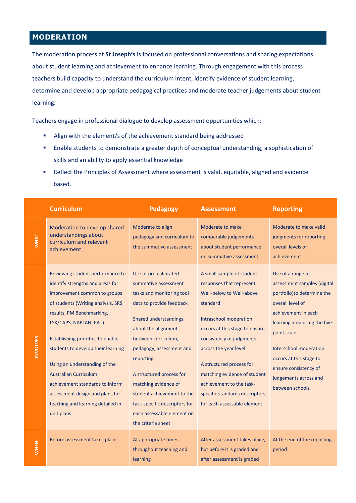# **MODERATION**

The moderation process at **St Joseph's** is focused on professional conversations and sharing expectations about student learning and achievement to enhance learning. Through engagement with this process teachers build capacity to understand the curriculum intent, identify evidence of student learning, determine and develop appropriate pedagogical practices and moderate teacher judgements about student learning.

Teachers engage in professional dialogue to develop assessment opportunities which:

- Align with the element/s of the achievement standard being addressed
- Enable students to demonstrate a greater depth of conceptual understanding, a sophistication of skills and an ability to apply essential knowledge
- Reflect the Principles of Assessment where assessment is valid, equitable, aligned and evidence based.

|                 | <b>Curriculum</b>                                                                                                                                                                                                                                                                                                                                                                                                                                                      | <b>Pedagogy</b>                                                                                                                                                                                                                                                                                                                                                                               | <b>Assessment</b>                                                                                                                                                                                                                                                                                                                                                       | <b>Reporting</b>                                                                                                                                                                                                                                                                                      |
|-----------------|------------------------------------------------------------------------------------------------------------------------------------------------------------------------------------------------------------------------------------------------------------------------------------------------------------------------------------------------------------------------------------------------------------------------------------------------------------------------|-----------------------------------------------------------------------------------------------------------------------------------------------------------------------------------------------------------------------------------------------------------------------------------------------------------------------------------------------------------------------------------------------|-------------------------------------------------------------------------------------------------------------------------------------------------------------------------------------------------------------------------------------------------------------------------------------------------------------------------------------------------------------------------|-------------------------------------------------------------------------------------------------------------------------------------------------------------------------------------------------------------------------------------------------------------------------------------------------------|
| <b>VVHAT</b>    | Moderation to develop shared<br>understandings about<br>curriculum and relevant<br>achievement                                                                                                                                                                                                                                                                                                                                                                         | Moderate to align<br>pedagogy and curriculum to<br>the summative assessment                                                                                                                                                                                                                                                                                                                   | Moderate to make<br>comparable judgements<br>about student performance<br>on summative assessment                                                                                                                                                                                                                                                                       | Moderate to make valid<br>judgments for reporting<br>overall levels of<br>achievement                                                                                                                                                                                                                 |
| <b>INVOLVES</b> | Reviewing student performance to<br>identify strengths and areas for<br>improvement common to groups<br>of students (Writing analysis, SRS<br>results, PM Benchmarking,<br>LSK/CAPS, NAPLAN, PAT)<br>Establishing priorities to enable<br>students to develop their learning<br>Using an understanding of the<br><b>Australian Curriculum</b><br>achievement standards to inform<br>assessment design and plans for<br>teaching and learning detailed in<br>unit plans | Use of pre-calibrated<br>summative assessment<br>tasks and monitoring tool<br>data to provide feedback<br>Shared understandings<br>about the alignment<br>between curriculum,<br>pedagogy, assessment and<br>reporting<br>A structured process for<br>matching evidence of<br>student achievement to the<br>task-specific descriptors for<br>each assessable element on<br>the criteria sheet | A small sample of student<br>responses that represent<br>Well-below to Well-above<br>standard<br>Intraschool moderation<br>occurs at this stage to ensure<br>consistency of judgments<br>across the year level<br>A structured process for<br>matching evidence of student<br>achievement to the task-<br>specific standards descriptors<br>for each assessable element | Use of a range of<br>assessment samples (digital<br>portfolio) to determine the<br>overall level of<br>achievement in each<br>learning area using the five-<br>point scale<br>Interschool moderation<br>occurs at this stage to<br>ensure consistency of<br>judgements across and<br>between schools. |
| <b>WHEN</b>     | Before assessment takes place                                                                                                                                                                                                                                                                                                                                                                                                                                          | At appropriate times<br>throughout teaching and<br>learning                                                                                                                                                                                                                                                                                                                                   | After assessment takes place,<br>but before it is graded and<br>after assessment is graded                                                                                                                                                                                                                                                                              | At the end of the reporting<br>period                                                                                                                                                                                                                                                                 |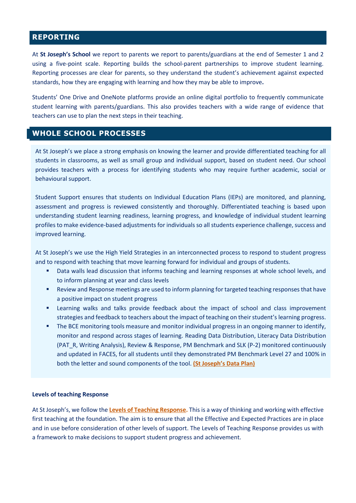### **REPORTING**

At **St Joseph's School** we report to parents we report to parents/guardians at the end of Semester 1 and 2 using a five-point scale. Reporting builds the school-parent partnerships to improve student learning. Reporting processes are clear for parents, so they understand the student's achievement against expected standards, how they are engaging with learning and how they may be able to improve**.** 

Students' One Drive and OneNote platforms provide an online digital portfolio to frequently communicate student learning with parents/guardians. This also provides teachers with a wide range of evidence that teachers can use to plan the next steps in their teaching.

### **WHOLE SCHOOL PROCESSES**

At St Joseph's we place a strong emphasis on knowing the learner and provide differentiated teaching for all students in classrooms, as well as small group and individual support, based on student need. Our school provides teachers with a process for identifying students who may require further academic, social or behavioural support.

Student Support ensures that students on Individual Education Plans (IEPs) are monitored, and planning, assessment and progress is reviewed consistently and thoroughly. Differentiated teaching is based upon understanding student learning readiness, learning progress, and knowledge of individual student learning profiles to make evidence-based adjustments for individuals so all students experience challenge, success and improved learning.

At St Joseph's we use the High Yield Strategies in an interconnected process to respond to student progress and to respond with teaching that move learning forward for individual and groups of students.

- Data walls lead discussion that informs teaching and learning responses at whole school levels, and to inform planning at year and class levels
- Review and Response meetings are used to inform planning for targeted teaching responses that have a positive impact on student progress
- Learning walks and talks provide feedback about the impact of school and class improvement strategies and feedback to teachers about the impact of teaching on their student's learning progress.
- **•** The BCE monitoring tools measure and monitor individual progress in an ongoing manner to identify, monitor and respond across stages of learning. Reading Data Distribution, Literacy Data Distribution (PAT\_R, Writing Analysis), Review & Response, PM Benchmark and SLK (P-2) monitored continuously and updated in FACES, for all students until they demonstrated PM Benchmark Level 27 and 100% in both the letter and sound components of the tool. **[\(St Joseph's Data Plan\)](https://mybcecatholicedu.sharepoint.com/:b:/s/sp-stjosephsbrackenridge/staff/EelwRj2ruEZLq0WneeSdtJkBi-kibW6A5OxUbzOmyMavwg?e=E9BAEk)**

#### **Levels of teaching Response**

At St Joseph's, we follow the **[Levels of Teaching Response.](https://mybcecatholicedu.sharepoint.com/learning-and-teaching/SitePages/Levels-of-teaching-response.aspx)** This is a way of thinking and working with effective first teaching at the foundation. The aim is to ensure that all the Effective and Expected Practices are in place and in use before consideration of other levels of support. The Levels of Teaching Response provides us with a framework to make decisions to support student progress and achievement.